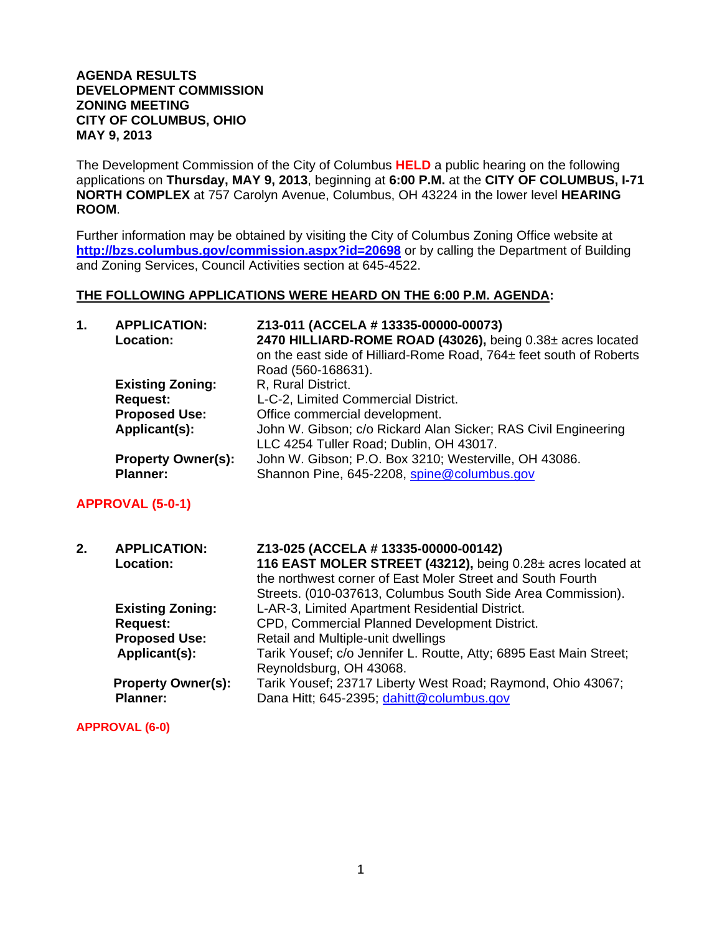#### **AGENDA RESULTS DEVELOPMENT COMMISSION ZONING MEETING CITY OF COLUMBUS, OHIO MAY 9, 2013**

The Development Commission of the City of Columbus **HELD** a public hearing on the following applications on **Thursday, MAY 9, 2013**, beginning at **6:00 P.M.** at the **CITY OF COLUMBUS, I-71 NORTH COMPLEX** at 757 Carolyn Avenue, Columbus, OH 43224 in the lower level **HEARING ROOM**.

Further information may be obtained by visiting the City of Columbus Zoning Office website at **http://bzs.columbus.gov/commission.aspx?id=20698** or by calling the Department of Building and Zoning Services, Council Activities section at 645-4522.

#### **THE FOLLOWING APPLICATIONS WERE HEARD ON THE 6:00 P.M. AGENDA:**

| 1. | <b>APPLICATION:</b><br>Location: | Z13-011 (ACCELA # 13335-00000-00073)<br>2470 HILLIARD-ROME ROAD (43026), being 0.38± acres located<br>on the east side of Hilliard-Rome Road, 764± feet south of Roberts<br>Road (560-168631). |
|----|----------------------------------|------------------------------------------------------------------------------------------------------------------------------------------------------------------------------------------------|
|    | <b>Existing Zoning:</b>          | R, Rural District.                                                                                                                                                                             |
|    | <b>Request:</b>                  | L-C-2, Limited Commercial District.                                                                                                                                                            |
|    | <b>Proposed Use:</b>             | Office commercial development.                                                                                                                                                                 |
|    | Applicant(s):                    | John W. Gibson; c/o Rickard Alan Sicker; RAS Civil Engineering<br>LLC 4254 Tuller Road; Dublin, OH 43017.                                                                                      |
|    | <b>Property Owner(s):</b>        | John W. Gibson; P.O. Box 3210; Westerville, OH 43086.                                                                                                                                          |
|    | <b>Planner:</b>                  | Shannon Pine, 645-2208, spine@columbus.gov                                                                                                                                                     |

#### **APPROVAL (5-0-1)**

| 2. | <b>APPLICATION:</b><br>Location:             | Z13-025 (ACCELA # 13335-00000-00142)<br>116 EAST MOLER STREET (43212), being 0.28± acres located at<br>the northwest corner of East Moler Street and South Fourth<br>Streets. (010-037613, Columbus South Side Area Commission). |
|----|----------------------------------------------|----------------------------------------------------------------------------------------------------------------------------------------------------------------------------------------------------------------------------------|
|    | <b>Existing Zoning:</b>                      | L-AR-3, Limited Apartment Residential District.                                                                                                                                                                                  |
|    | <b>Request:</b>                              | CPD, Commercial Planned Development District.                                                                                                                                                                                    |
|    | <b>Proposed Use:</b>                         | Retail and Multiple-unit dwellings                                                                                                                                                                                               |
|    | Applicant(s):                                | Tarik Yousef; c/o Jennifer L. Routte, Atty; 6895 East Main Street;<br>Reynoldsburg, OH 43068.                                                                                                                                    |
|    | <b>Property Owner(s):</b><br><b>Planner:</b> | Tarik Yousef; 23717 Liberty West Road; Raymond, Ohio 43067;<br>Dana Hitt; 645-2395; dahitt@columbus.gov                                                                                                                          |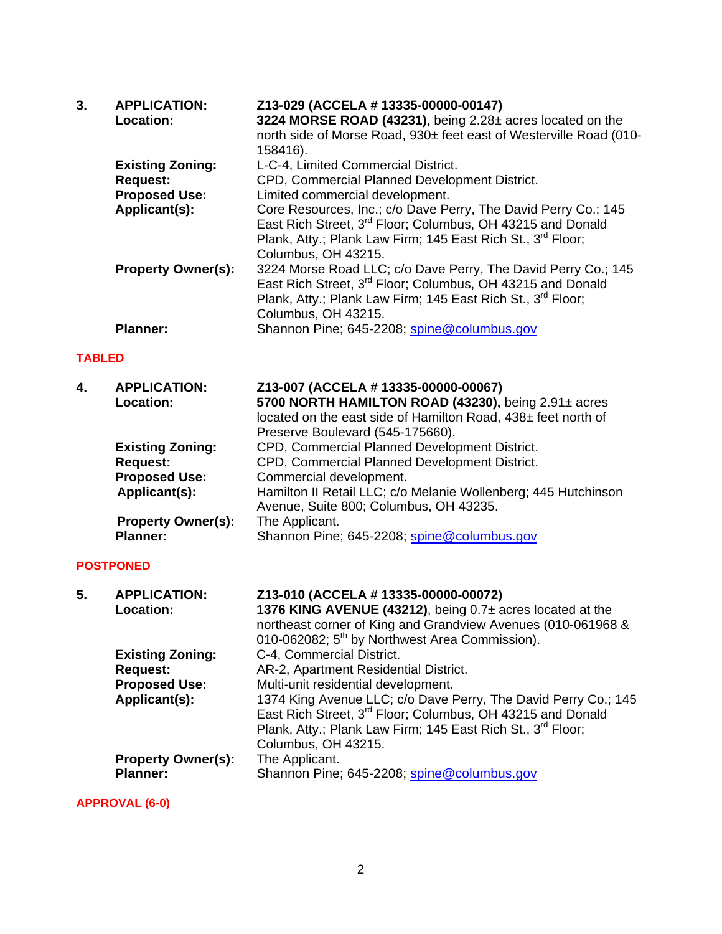| 3.            | <b>APPLICATION:</b><br>Location: | Z13-029 (ACCELA # 13335-00000-00147)<br>3224 MORSE ROAD (43231), being 2.28± acres located on the<br>north side of Morse Road, 930± feet east of Westerville Road (010-<br>158416).                                                        |
|---------------|----------------------------------|--------------------------------------------------------------------------------------------------------------------------------------------------------------------------------------------------------------------------------------------|
|               | <b>Existing Zoning:</b>          | L-C-4, Limited Commercial District.                                                                                                                                                                                                        |
|               | <b>Request:</b>                  | CPD, Commercial Planned Development District.                                                                                                                                                                                              |
|               | <b>Proposed Use:</b>             | Limited commercial development.                                                                                                                                                                                                            |
|               | Applicant(s):                    | Core Resources, Inc.; c/o Dave Perry, The David Perry Co.; 145<br>East Rich Street, 3 <sup>rd</sup> Floor; Columbus, OH 43215 and Donald<br>Plank, Atty.; Plank Law Firm; 145 East Rich St., 3 <sup>rd</sup> Floor;<br>Columbus, OH 43215. |
|               | <b>Property Owner(s):</b>        | 3224 Morse Road LLC; c/o Dave Perry, The David Perry Co.; 145<br>East Rich Street, 3 <sup>rd</sup> Floor; Columbus, OH 43215 and Donald<br>Plank, Atty.; Plank Law Firm; 145 East Rich St., 3 <sup>rd</sup> Floor;<br>Columbus, OH 43215.  |
|               | <b>Planner:</b>                  | Shannon Pine; 645-2208; spine@columbus.gov                                                                                                                                                                                                 |
| <b>TABLED</b> |                                  |                                                                                                                                                                                                                                            |
| 4.            | <b>APPLICATION:</b><br>Location: | Z13-007 (ACCELA # 13335-00000-00067)<br>5700 NORTH HAMILTON ROAD (43230), being 2.91± acres                                                                                                                                                |

|    | Applicant(s):             | Hamilton II Retail LLC; c/o Melanie Wollenberg; 445 Hutchinson<br>Avenue, Suite 800; Columbus, OH 43235. |
|----|---------------------------|----------------------------------------------------------------------------------------------------------|
|    | <b>Property Owner(s):</b> | The Applicant.                                                                                           |
|    | <b>Planner:</b>           | Shannon Pine; 645-2208; spine@columbus.gov                                                               |
|    | <b>POSTPONED</b>          |                                                                                                          |
| 5. | <b>APPLICATION:</b>       | Z13-010 (ACCELA # 13335-00000-00072)                                                                     |
|    | Location:                 | 1376 KING AVENUE (43212), being 0.7± acres located at the                                                |
|    |                           | northeast corner of King and Grandview Avenues (010-061968 &                                             |
|    |                           | 010-062082; 5 <sup>th</sup> by Northwest Area Commission).                                               |
|    | <b>Existing Zoning:</b>   | C-4, Commercial District.                                                                                |
|    |                           |                                                                                                          |

Preserve Boulevard (545-175660).

**Existing Zoning:** CPD, Commercial Planned Development District.<br> **Request:** CPD, Commercial Planned Development District. **Request:** CPD, Commercial Planned Development District.<br>**Proposed Use:** Commercial development. **Commercial development.** 

located on the east side of Hamilton Road, 438± feet north of

**Request:** AR-2, Apartment Residential District. **Proposed Use:** Multi-unit residential development. Applicant(s): 1374 King Avenue LLC; c/o Dave Perry, The David Perry Co.; 145 East Rich Street, 3<sup>rd</sup> Floor; Columbus, OH 43215 and Donald Plank, Atty.; Plank Law Firm; 145 East Rich St., 3<sup>rd</sup> Floor; Columbus, OH 43215. **Property Owner(s):** Planner: Shannon Pine; 645-2208; spine@columbus.gov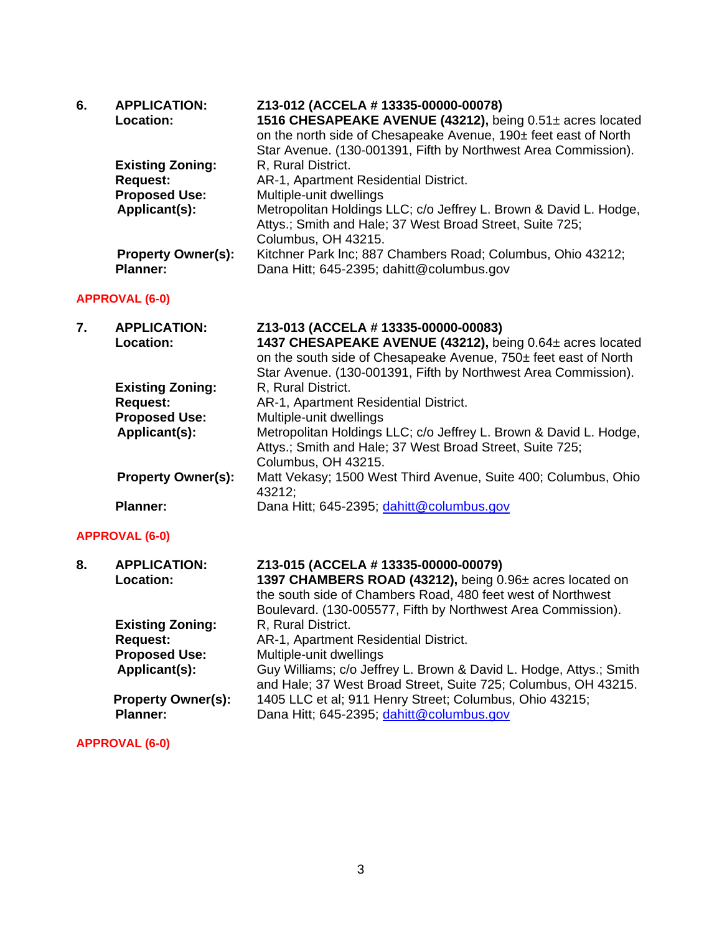| 6. | <b>APPLICATION:</b>       | Z13-012 (ACCELA # 13335-00000-00078)                              |
|----|---------------------------|-------------------------------------------------------------------|
|    | Location:                 | 1516 CHESAPEAKE AVENUE (43212), being 0.51± acres located         |
|    |                           | on the north side of Chesapeake Avenue, 190± feet east of North   |
|    |                           | Star Avenue. (130-001391, Fifth by Northwest Area Commission).    |
|    | <b>Existing Zoning:</b>   | R, Rural District.                                                |
|    | <b>Request:</b>           | AR-1, Apartment Residential District.                             |
|    | <b>Proposed Use:</b>      | Multiple-unit dwellings                                           |
|    | Applicant(s):             | Metropolitan Holdings LLC; c/o Jeffrey L. Brown & David L. Hodge, |
|    |                           | Attys.; Smith and Hale; 37 West Broad Street, Suite 725;          |
|    |                           | Columbus, OH 43215.                                               |
|    | <b>Property Owner(s):</b> | Kitchner Park Inc; 887 Chambers Road; Columbus, Ohio 43212;       |
|    | <b>Planner:</b>           | Dana Hitt; 645-2395; dahitt@columbus.gov                          |

## **APPROVAL (6-0)**

| 7. | <b>APPLICATION:</b><br>Location: | Z13-013 (ACCELA # 13335-00000-00083)<br>1437 CHESAPEAKE AVENUE (43212), being 0.64± acres located<br>on the south side of Chesapeake Avenue, 750± feet east of North<br>Star Avenue. (130-001391, Fifth by Northwest Area Commission). |
|----|----------------------------------|----------------------------------------------------------------------------------------------------------------------------------------------------------------------------------------------------------------------------------------|
|    | <b>Existing Zoning:</b>          | R, Rural District.                                                                                                                                                                                                                     |
|    | <b>Request:</b>                  | AR-1, Apartment Residential District.                                                                                                                                                                                                  |
|    | <b>Proposed Use:</b>             | Multiple-unit dwellings                                                                                                                                                                                                                |
|    | Applicant(s):                    | Metropolitan Holdings LLC; c/o Jeffrey L. Brown & David L. Hodge,<br>Attys.; Smith and Hale; 37 West Broad Street, Suite 725;<br>Columbus, OH 43215.                                                                                   |
|    | <b>Property Owner(s):</b>        | Matt Vekasy; 1500 West Third Avenue, Suite 400; Columbus, Ohio<br>43212;                                                                                                                                                               |
|    | <b>Planner:</b>                  | Dana Hitt; 645-2395; dahitt@columbus.gov                                                                                                                                                                                               |

# **APPROVAL (6-0)**

| 8. | <b>APPLICATION:</b><br>Location:             | Z13-015 (ACCELA # 13335-00000-00079)<br>1397 CHAMBERS ROAD (43212), being 0.96± acres located on<br>the south side of Chambers Road, 480 feet west of Northwest<br>Boulevard. (130-005577, Fifth by Northwest Area Commission). |
|----|----------------------------------------------|---------------------------------------------------------------------------------------------------------------------------------------------------------------------------------------------------------------------------------|
|    | <b>Existing Zoning:</b><br><b>Request:</b>   | R. Rural District.<br>AR-1, Apartment Residential District.                                                                                                                                                                     |
|    | <b>Proposed Use:</b><br>Applicant(s):        | Multiple-unit dwellings<br>Guy Williams; c/o Jeffrey L. Brown & David L. Hodge, Attys.; Smith<br>and Hale; 37 West Broad Street, Suite 725; Columbus, OH 43215.                                                                 |
|    | <b>Property Owner(s):</b><br><b>Planner:</b> | 1405 LLC et al; 911 Henry Street; Columbus, Ohio 43215;<br>Dana Hitt; 645-2395; dahitt@columbus.gov                                                                                                                             |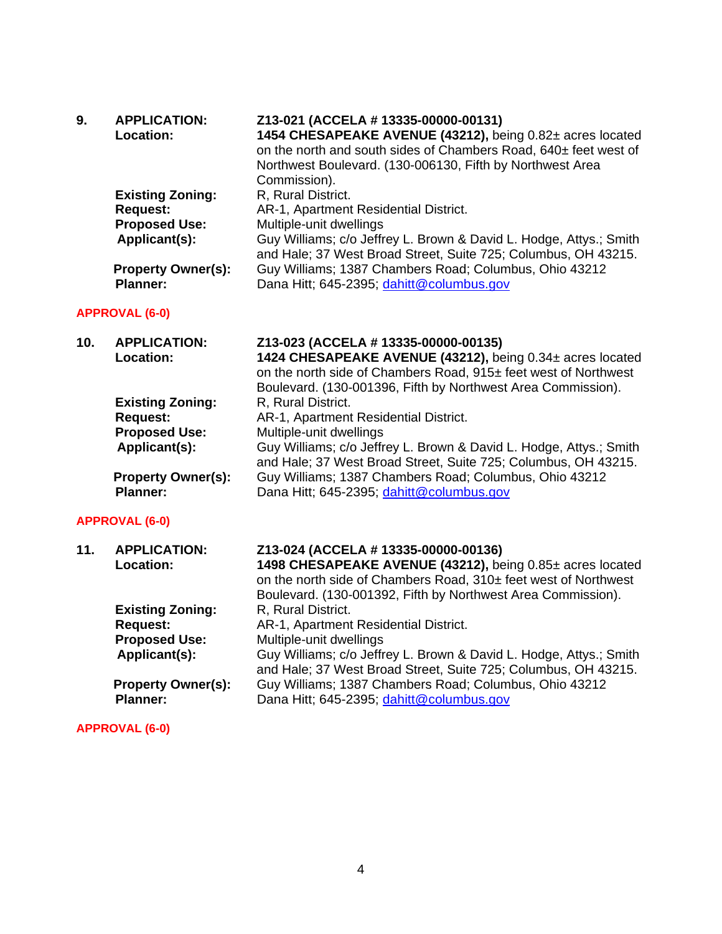| 9. | <b>APPLICATION:</b>       | Z13-021 (ACCELA # 13335-00000-00131)                               |
|----|---------------------------|--------------------------------------------------------------------|
|    | <b>Location:</b>          | 1454 CHESAPEAKE AVENUE (43212), being 0.82± acres located          |
|    |                           | on the north and south sides of Chambers Road, 640± feet west of   |
|    |                           | Northwest Boulevard. (130-006130, Fifth by Northwest Area          |
|    |                           | Commission).                                                       |
|    | <b>Existing Zoning:</b>   | R. Rural District.                                                 |
|    | <b>Request:</b>           | AR-1, Apartment Residential District.                              |
|    | <b>Proposed Use:</b>      | Multiple-unit dwellings                                            |
|    | Applicant(s):             | Guy Williams; c/o Jeffrey L. Brown & David L. Hodge, Attys.; Smith |
|    |                           | and Hale; 37 West Broad Street, Suite 725; Columbus, OH 43215.     |
|    | <b>Property Owner(s):</b> | Guy Williams; 1387 Chambers Road; Columbus, Ohio 43212             |
|    | <b>Planner:</b>           | Dana Hitt; 645-2395; dahitt@columbus.gov                           |
|    |                           |                                                                    |

# **APPROVAL (6-0)**

| 10. | <b>APPLICATION:</b>       | Z13-023 (ACCELA # 13335-00000-00135)                               |
|-----|---------------------------|--------------------------------------------------------------------|
|     | <b>Location:</b>          | 1424 CHESAPEAKE AVENUE (43212), being 0.34± acres located          |
|     |                           | on the north side of Chambers Road, 915± feet west of Northwest    |
|     |                           | Boulevard. (130-001396, Fifth by Northwest Area Commission).       |
|     | <b>Existing Zoning:</b>   | R, Rural District.                                                 |
|     | <b>Request:</b>           | AR-1, Apartment Residential District.                              |
|     | <b>Proposed Use:</b>      | Multiple-unit dwellings                                            |
|     | Applicant(s):             | Guy Williams; c/o Jeffrey L. Brown & David L. Hodge, Attys.; Smith |
|     |                           | and Hale; 37 West Broad Street, Suite 725; Columbus, OH 43215.     |
|     | <b>Property Owner(s):</b> | Guy Williams; 1387 Chambers Road; Columbus, Ohio 43212             |
|     | <b>Planner:</b>           | Dana Hitt; 645-2395; dahitt@columbus.gov                           |
|     |                           |                                                                    |

# **APPROVAL (6-0)**

| 11. | <b>APPLICATION:</b><br>Location:             | Z13-024 (ACCELA # 13335-00000-00136)<br>1498 CHESAPEAKE AVENUE (43212), being 0.85± acres located<br>on the north side of Chambers Road, 310± feet west of Northwest<br>Boulevard. (130-001392, Fifth by Northwest Area Commission). |
|-----|----------------------------------------------|--------------------------------------------------------------------------------------------------------------------------------------------------------------------------------------------------------------------------------------|
|     | <b>Existing Zoning:</b>                      | R, Rural District.                                                                                                                                                                                                                   |
|     | <b>Request:</b>                              | AR-1, Apartment Residential District.                                                                                                                                                                                                |
|     | <b>Proposed Use:</b>                         | Multiple-unit dwellings                                                                                                                                                                                                              |
|     | Applicant(s):                                | Guy Williams; c/o Jeffrey L. Brown & David L. Hodge, Attys.; Smith<br>and Hale; 37 West Broad Street, Suite 725; Columbus, OH 43215.                                                                                                 |
|     | <b>Property Owner(s):</b><br><b>Planner:</b> | Guy Williams; 1387 Chambers Road; Columbus, Ohio 43212<br>Dana Hitt; 645-2395; dahitt@columbus.gov                                                                                                                                   |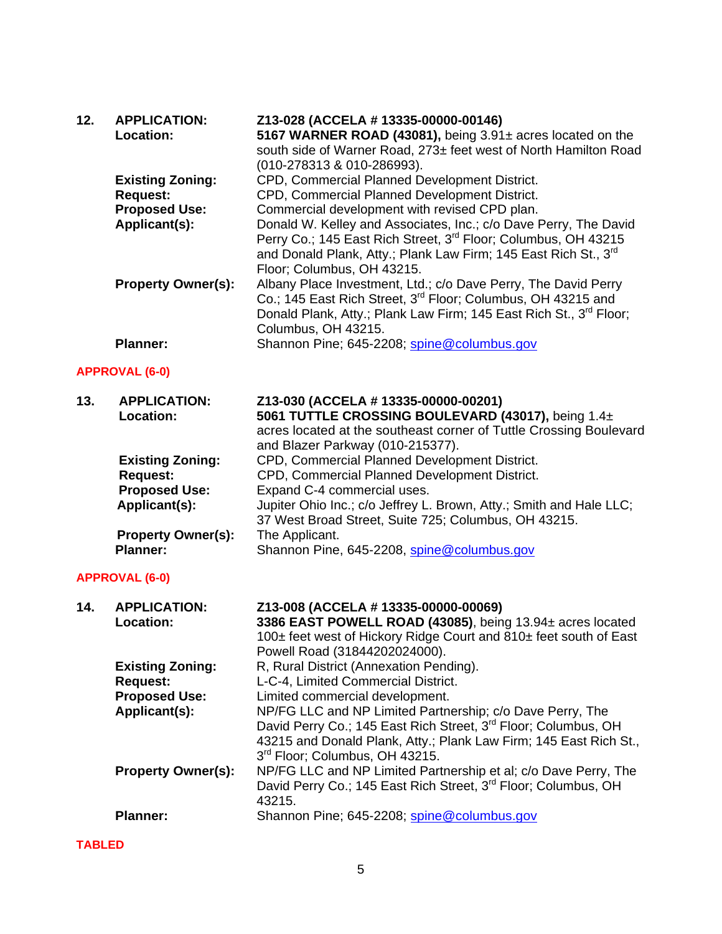| 12. | <b>APPLICATION:</b><br>Location:                                                    | Z13-028 (ACCELA # 13335-00000-00146)<br>5167 WARNER ROAD (43081), being 3.91± acres located on the<br>south side of Warner Road, 273± feet west of North Hamilton Road<br>(010-278313 & 010-286993).                                                                                                                                                                                                           |
|-----|-------------------------------------------------------------------------------------|----------------------------------------------------------------------------------------------------------------------------------------------------------------------------------------------------------------------------------------------------------------------------------------------------------------------------------------------------------------------------------------------------------------|
|     | <b>Existing Zoning:</b><br><b>Request:</b><br><b>Proposed Use:</b><br>Applicant(s): | CPD, Commercial Planned Development District.<br>CPD, Commercial Planned Development District.<br>Commercial development with revised CPD plan.<br>Donald W. Kelley and Associates, Inc.; c/o Dave Perry, The David<br>Perry Co.; 145 East Rich Street, 3 <sup>rd</sup> Floor; Columbus, OH 43215<br>and Donald Plank, Atty.; Plank Law Firm; 145 East Rich St., 3 <sup>rd</sup><br>Floor; Columbus, OH 43215. |
|     | <b>Property Owner(s):</b>                                                           | Albany Place Investment, Ltd.; c/o Dave Perry, The David Perry<br>Co.; 145 East Rich Street, 3 <sup>rd</sup> Floor; Columbus, OH 43215 and<br>Donald Plank, Atty.; Plank Law Firm; 145 East Rich St., 3 <sup>rd</sup> Floor;<br>Columbus, OH 43215.                                                                                                                                                            |
|     | <b>Planner:</b>                                                                     | Shannon Pine; 645-2208; spine@columbus.gov                                                                                                                                                                                                                                                                                                                                                                     |
|     | <b>APPROVAL (6-0)</b>                                                               |                                                                                                                                                                                                                                                                                                                                                                                                                |
| 13. | <b>APPLICATION:</b><br>Location:                                                    | Z13-030 (ACCELA # 13335-00000-00201)<br>5061 TUTTLE CROSSING BOULEVARD (43017), being 1.4±<br>acres located at the southeast corner of Tuttle Crossing Boulevard<br>and Blazer Parkway (010-215377).                                                                                                                                                                                                           |
|     | <b>Existing Zoning:</b><br><b>Request:</b><br><b>Proposed Use:</b><br>Applicant(s): | CPD, Commercial Planned Development District.<br>CPD, Commercial Planned Development District.<br>Expand C-4 commercial uses.<br>Jupiter Ohio Inc.; c/o Jeffrey L. Brown, Atty.; Smith and Hale LLC;                                                                                                                                                                                                           |
|     | <b>Property Owner(s):</b><br><b>Planner:</b>                                        | 37 West Broad Street, Suite 725; Columbus, OH 43215.<br>The Applicant.<br>Shannon Pine, 645-2208, spine@columbus.gov                                                                                                                                                                                                                                                                                           |
|     | <b>APPROVAL (6-0)</b>                                                               |                                                                                                                                                                                                                                                                                                                                                                                                                |
| 14. | <b>APPLICATION:</b><br><b>Location:</b>                                             | Z13-008 (ACCELA # 13335-00000-00069)<br>3386 EAST POWELL ROAD (43085), being 13.94± acres located<br>100± feet west of Hickory Ridge Court and 810± feet south of East<br>Powell Road (31844202024000).                                                                                                                                                                                                        |
|     | <b>Existing Zoning:</b><br><b>Request:</b><br><b>Proposed Use:</b>                  | R, Rural District (Annexation Pending).<br>L-C-4, Limited Commercial District.<br>Limited commercial development.                                                                                                                                                                                                                                                                                              |
|     | Applicant(s):                                                                       | NP/FG LLC and NP Limited Partnership; c/o Dave Perry, The<br>David Perry Co.; 145 East Rich Street, 3rd Floor; Columbus, OH<br>43215 and Donald Plank, Atty.; Plank Law Firm; 145 East Rich St.,<br>3rd Floor; Columbus, OH 43215.                                                                                                                                                                             |
|     | <b>Property Owner(s):</b>                                                           | NP/FG LLC and NP Limited Partnership et al; c/o Dave Perry, The<br>David Perry Co.; 145 East Rich Street, 3 <sup>rd</sup> Floor; Columbus, OH<br>43215.                                                                                                                                                                                                                                                        |
|     | <b>Planner:</b>                                                                     | Shannon Pine; 645-2208; spine@columbus.gov                                                                                                                                                                                                                                                                                                                                                                     |

**TABLED**